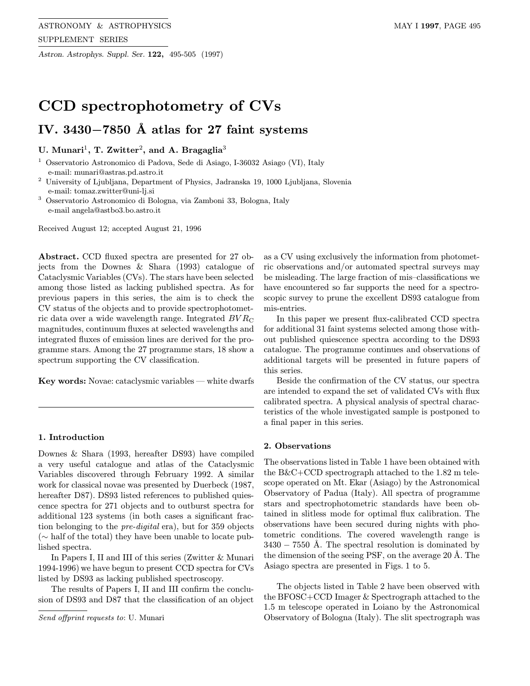Astron. Astrophys. Suppl. Ser. 122, 495-505 (1997)

# CCD spectrophotometry of CVs

## IV. 3430 $-7850$  Å atlas for 27 faint systems

### U. Munari<sup>1</sup>, T. Zwitter<sup>2</sup>, and A. Bragaglia<sup>3</sup>

<sup>1</sup> Osservatorio Astronomico di Padova, Sede di Asiago, I-36032 Asiago (VI), Italy e-mail: munari@astras.pd.astro.it

<sup>2</sup> University of Ljubljana, Department of Physics, Jadranska 19, 1000 Ljubljana, Slovenia e-mail: tomaz.zwitter@uni-lj.si

<sup>3</sup> Osservatorio Astronomico di Bologna, via Zamboni 33, Bologna, Italy e-mail angela@astbo3.bo.astro.it

Received August 12; accepted August 21, 1996

Abstract. CCD fluxed spectra are presented for 27 objects from the Downes & Shara (1993) catalogue of Cataclysmic Variables (CVs). The stars have been selected among those listed as lacking published spectra. As for previous papers in this series, the aim is to check the CV status of the objects and to provide spectrophotometric data over a wide wavelength range. Integrated  $BVR_{\rm C}$ magnitudes, continuum fluxes at selected wavelengths and integrated fluxes of emission lines are derived for the programme stars. Among the 27 programme stars, 18 show a spectrum supporting the CV classification.

Key words: Novae: cataclysmic variables — white dwarfs

#### 1. Introduction

Downes & Shara (1993, hereafter DS93) have compiled a very useful catalogue and atlas of the Cataclysmic Variables discovered through February 1992. A similar work for classical novae was presented by Duerbeck (1987, hereafter D87). DS93 listed references to published quiescence spectra for 271 objects and to outburst spectra for additional 123 systems (in both cases a significant fraction belonging to the pre-digital era), but for 359 objects (∼ half of the total) they have been unable to locate published spectra.

In Papers I, II and III of this series (Zwitter & Munari 1994-1996) we have begun to present CCD spectra for CVs listed by DS93 as lacking published spectroscopy.

The results of Papers I, II and III confirm the conclusion of DS93 and D87 that the classification of an object

as a CV using exclusively the information from photometric observations and/or automated spectral surveys may be misleading. The large fraction of mis–classifications we have encountered so far supports the need for a spectroscopic survey to prune the excellent DS93 catalogue from mis-entries.

In this paper we present flux-calibrated CCD spectra for additional 31 faint systems selected among those without published quiescence spectra according to the DS93 catalogue. The programme continues and observations of additional targets will be presented in future papers of this series.

Beside the confirmation of the CV status, our spectra are intended to expand the set of validated CVs with flux calibrated spectra. A physical analysis of spectral characteristics of the whole investigated sample is postponed to a final paper in this series.

#### 2. Observations

The observations listed in Table 1 have been obtained with the B&C+CCD spectrograph attached to the 1.82 m telescope operated on Mt. Ekar (Asiago) by the Astronomical Observatory of Padua (Italy). All spectra of programme stars and spectrophotometric standards have been obtained in slitless mode for optimal flux calibration. The observations have been secured during nights with photometric conditions. The covered wavelength range is  $3430 - 7550$  Å. The spectral resolution is dominated by the dimension of the seeing PSF, on the average 20 Å. The Asiago spectra are presented in Figs. 1 to 5.

The objects listed in Table 2 have been observed with the BFOSC+CCD Imager & Spectrograph attached to the 1.5 m telescope operated in Loiano by the Astronomical Observatory of Bologna (Italy). The slit spectrograph was

Send offprint requests to: U. Munari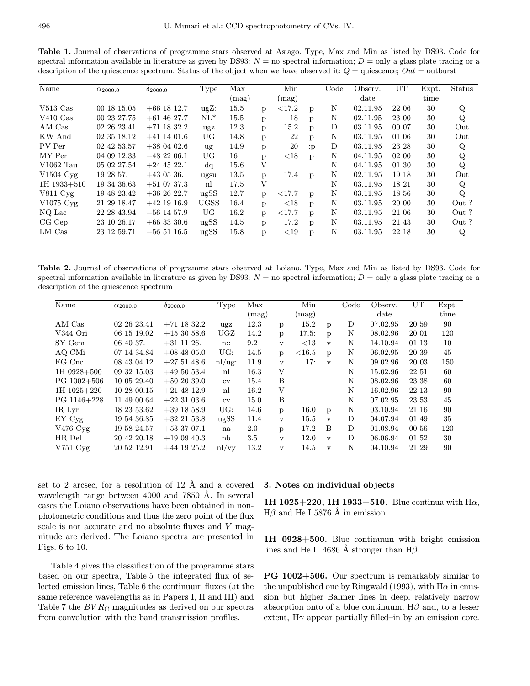Table 1. Journal of observations of programme stars observed at Asiago. Type, Max and Min as listed by DS93. Code for spectral information available in literature as given by DS93:  $N =$  no spectral information;  $D =$  only a glass plate tracing or a description of the quiescence spectrum. Status of the object when we have observed it:  $Q =$  quiescence;  $Out =$  outburst

| Name                  | $\alpha_{2000.0}$ | $\delta_{2000.0}$ | <b>Type</b> | Max   |              | Min       |              | Code | Observ.  | UT    | Expt. | Status |
|-----------------------|-------------------|-------------------|-------------|-------|--------------|-----------|--------------|------|----------|-------|-------|--------|
|                       |                   |                   |             | (mag) |              | (mag)     |              |      | date     |       | time  |        |
| $V513$ Cas            | 00 18 15.05       | $+66$ 18 12.7     | $ugZ$ :     | 15.5  | p            | ${<}17.2$ | p            | N    | 02.11.95 | 22 06 | 30    | Q      |
| $V410$ Cas            | 00 23 27.75       | $+61$ 46 27.7     | $NL^*$      | 15.5  | p            | 18        | p            | N    | 02.11.95 | 23 00 | 30    | Q      |
| AM Cas                | 02 26 23.41       | $+71$ 18 32.2     | ugz         | 12.3  | p            | 15.2      | p            | D    | 03.11.95 | 00 07 | 30    | Out    |
| KW And                | 02 35 18.12       | $+41$ 14 01.6     | UG          | 14.8  | p            | 22        | p            | N    | 03.11.95 | 01 06 | 30    | Out    |
| PV Per                | 02 42 53.57       | $+380402.6$       | ug          | 14.9  | p            | 20        | :p           | D    | 03.11.95 | 23 28 | 30    | Q      |
| MY Per                | 04 09 12.33       | $+482206.1$       | UG          | 16    | p            | ${<}18$   | p            | N    | 04.11.95 | 02 00 | 30    | Q      |
| V1062 Tau             | 05 02 27.54       | $+24$ 45 22.1     | dq          | 15.6  | $\mathbf V$  |           |              | N    | 04.11.95 | 01 30 | 30    | Q      |
| V1504 Cvg             | 19 28 57.         | $+43$ 05 36.      | ugsu        | 13.5  | p            | 17.4      | D            | N    | 02.11.95 | 19 18 | 30    | Out    |
| $1H$ 1933 $+510$      | 19 34 36.63       | $+51$ 07 37.3     | nl          | 17.5  | $\mathbf{V}$ |           |              | N    | 03.11.95 | 18 21 | 30    | Q      |
| $V811 \,\mathrm{Cyg}$ | 19 48 23.42       | $+362622.7$       | ugSS        | 12.7  | p            | ${<}17.7$ | D            | N    | 03.11.95 | 18 56 | 30    | Q      |
| $V1075$ Cyg           | 21 29 18.47       | $+42$ 19 16.9     | <b>UGSS</b> | 16.4  | p            | ${<}18$   | $\mathbf{D}$ | N    | 03.11.95 | 20 00 | 30    | Out?   |
| NQ Lac                | 22 28 43.94       | $+56$ 14 57.9     | UG          | 16.2  | p            | ${<}17.7$ | $\mathbf{D}$ | N    | 03.11.95 | 21 06 | 30    | Out?   |
| $CG$ Cep              | 23 10 26.17       | $+66$ 33 30.6     | ugSS        | 14.5  | p            | 17.2      | p            | N    | 03.11.95 | 21 43 | 30    | Out?   |
| LM Cas                | 23 12 59.71       | $+56\;51\;16.5$   | ugSS        | 15.8  | p            | ${<}19$   | p            | N    | 03.11.95 | 22 18 | 30    | Q      |

Table 2. Journal of observations of programme stars observed at Loiano. Type, Max and Min as listed by DS93. Code for spectral information available in literature as given by DS93:  $N =$  no spectral information;  $D =$  only a glass plate tracing or a description of the quiescence spectrum

| Name               | $\alpha_{2000.0}$ | $\delta_{2000.0}$ | Type   | Max   |              | Min            |              | Code | Observ.  | UT    | Expt. |
|--------------------|-------------------|-------------------|--------|-------|--------------|----------------|--------------|------|----------|-------|-------|
|                    |                   |                   |        | (mag) |              | $(\text{mag})$ |              |      | date     |       | time  |
| AM Cas             | 02 26 23.41       | $+71$ 18 32.2     | ugz    | 12.3  | p            | 15.2           | p            | D    | 07.02.95 | 20 59 | 90    |
| V344 Ori           | 06 15 19.02       | $+153058.6$       | UGZ    | 14.2  | p            | 17.5:          | p            | N    | 08.02.96 | 20 01 | 120   |
| SY Gem             | 06 40 37.         | $+31$ 11 26.      | n::    | 9.2   | $\mathbf{v}$ | <13            | $\mathbf{v}$ | N    | 14.10.94 | 01 13 | 10    |
| AQ CMi             | 07 14 34.84       | $+08$ 48 05.0     | UG:    | 14.5  | p            | $<$ 16.5       | p            | N    | 06.02.95 | 20 39 | 45    |
| $EG$ Cnc           | 08 43 04.12       | $+275148.6$       | nl/ug: | 11.9  | $\mathbf{V}$ | 17:            | $\mathbf{v}$ | N    | 09.02.96 | 20 03 | 150   |
| 1H 0928+500        | 09 32 15.03       | $+495053.4$       | n      | 16.3  | V            |                |              | N    | 15.02.96 | 22 51 | 60    |
| $PG$ 1002+506      | 10 05 29.40       | $+502039.0$       | cv     | 15.4  | B            |                |              | N    | 08.02.96 | 23 38 | 60    |
| $1H$ $1025+220$    | 10 28 00.15       | $+21$ 48 12.9     | n      | 16.2  | V            |                |              | N    | 16.02.96 | 22 13 | 90    |
| PG 1146+228        | 11 49 00.64       | $+22$ 31 03.6     | cv     | 15.0  | B            |                |              | N    | 07.02.95 | 23 53 | 45    |
| IR Lvr             | 18 23 53.62       | $+39$ 18 58.9     | UG:    | 14.6  | p            | 16.0           | p            | N    | 03.10.94 | 21 16 | 90    |
| EY Cyg             | 19 54 36.85       | $+32$ 21 53.8     | ugSS   | 11.4  | $\mathbf{v}$ | 15.5           | $\mathbf{v}$ | D    | 04.07.94 | 01 49 | 35    |
| $V476$ Cyg         | 19 58 24.57       | $+533707.1$       | na     | 2.0   | p            | 17.2           | B            | D    | 01.08.94 | 00 56 | 120   |
| HR Del             | 20 42 20.18       | $+190940.3$       | nb     | 3.5   | $\mathbf{v}$ | 12.0           | $\mathbf v$  | D    | 06.06.94 | 01 52 | 30    |
| $V751 \text{ Cyg}$ | 20 52 12.91       | $+44$ 19 25.2     | nl/vy  | 13.2  | $\mathbf{V}$ | 14.5           | $\mathbf{V}$ | N    | 04.10.94 | 21 29 | 90    |

set to 2 arcsec, for a resolution of  $12 \text{ Å}$  and a covered wavelength range between 4000 and 7850 Å. In several cases the Loiano observations have been obtained in nonphotometric conditions and thus the zero point of the flux scale is not accurate and no absolute fluxes and V magnitude are derived. The Loiano spectra are presented in Figs. 6 to 10.

Table 4 gives the classification of the programme stars based on our spectra, Table 5 the integrated flux of selected emission lines, Table 6 the continuum fluxes (at the same reference wavelengths as in Papers I, II and III) and Table 7 the  $BVR<sub>C</sub>$  magnitudes as derived on our spectra from convolution with the band transmission profiles.

#### 3. Notes on individual objects

1H 1025+220, 1H 1933+510. Blue continua with  $H\alpha$ ,  $H\beta$  and He I 5876 Å in emission.

1H 0928+500. Blue continuum with bright emission lines and He II 4686 Å stronger than H $\beta$ .

PG 1002+506. Our spectrum is remarkably similar to the unpublished one by Ringwald (1993), with  $H\alpha$  in emission but higher Balmer lines in deep, relatively narrow absorption onto of a blue continuum.  $H\beta$  and, to a lesser extent,  $H\gamma$  appear partially filled–in by an emission core.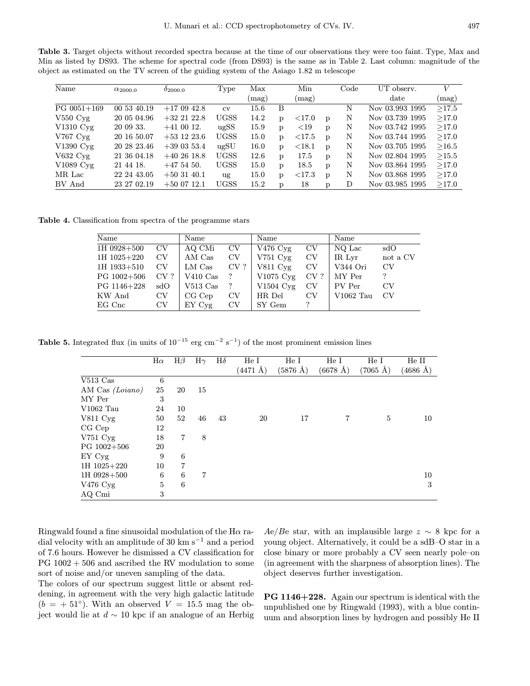Table 3. Target objects without recorded spectra because at the time of our observations they were too faint. Type, Max and Min as listed by DS93. The scheme for spectral code (from DS93) is the same as in Table 2. Last column: magnitude of the object as estimated on the TV screen of the guiding system of the Asiago 1.82 m telescope

| Name                   | $\alpha_{2000.0}$ | $0_{2000.0}$  | Type        | Max   |   | Min       |              | $\rm Code$ | UT observ.      | V     |
|------------------------|-------------------|---------------|-------------|-------|---|-----------|--------------|------------|-----------------|-------|
|                        |                   |               |             | (mag) |   | (mag)     |              |            | $_{\rm date}$   | (mag) |
| $PG$ 0051+169          | 00 53 40.19       | $+170942.8$   | $\rm{cv}$   | 15.6  | B |           |              | N          | Nov 03.993 1995 | >17.5 |
| $V550$ $Cvg$           | 20 05 04.96       | $+32$ 21 22.8 | <b>UGSS</b> | 14.2  | D | ${<}17.0$ | p            | Ν          | Nov 03.739 1995 | >17.0 |
| $V1310 \,\mathrm{Cyg}$ | 20 09 33.         | $+41$ 00 12.  | ugSS        | 15.9  | D | ${<}19$   | p            | Ν          | Nov 03.742 1995 | >17.0 |
| $V767$ $Cvg$           | 20 16 50.07       | $+53$ 12 23.6 | <b>UGSS</b> | 15.0  | D | ${<}17.5$ | D            | N          | Nov 03.744 1995 | >17.0 |
| V1390 Cyg              | 20 28 23.46       | $+390353.4$   | ugSU        | 16.0  | D | ${<}18.1$ | p            | N          | Nov 03.705 1995 | >16.5 |
| $V632 \,\mathrm{Cyg}$  | 21 36 04.18       | $+402618.8$   | <b>UGSS</b> | 12.6  | D | 17.5      | p            | N          | Nov 02.804 1995 | >15.5 |
| V1089 Cyg              | 21 44 18.         | $+475450.$    | <b>UGSS</b> | 15.0  | D | 18.5      | p            | N          | Nov 03.864 1995 | >17.0 |
| MR Lac                 | 22 24 43.05       | $+503140.1$   | ug          | 15.0  | D | ${<}17.3$ | $\mathbf{p}$ | N          | Nov 03.868 1995 | >17.0 |
| BV And                 | 23 27 02.19       | $+500712.1$   | <b>UGSS</b> | 15.2  | D | 18        | p            | D          | Nov 03.985 1995 | >17.0 |

Table 4. Classification from spectra of the programme stars

| Name          |             | Name       |          | Name                  |        | Name        |             |
|---------------|-------------|------------|----------|-----------------------|--------|-------------|-------------|
| 1H 0928+500   | CV          | AQ CMi     | CV       | V476 $Cyg$            | CV     | NQ Lac      | sdO         |
| 1H 1025+220   | $_{\rm CV}$ | AM Cas     | CV       | $V751$ $Cvg$          | CV     | IR Lyr      | not a CV    |
| $1H$ 1933+510 | CV          | LM Cas     | $CV$ ?   | $V811 \,\mathrm{Cyg}$ | CV     | V344 Ori    | CV          |
| $PG$ 1002+506 | $CV$ ?      | $V410$ Cas |          | $V1075$ Cyg           | $CV$ ? | MY Per      | ?           |
| PG 1146+228   | sdO         | $V513$ Cas | $\gamma$ | $V1504 \, \text{Cyg}$ | CV     | PV Per      | $_{\rm CV}$ |
| KW And        | CV          | $CG$ $Cep$ | CV       | HR Del                | CV     | $V1062$ Tau | CV          |
| $EG$ Cnc      | $_{\rm CV}$ | EY Cyg     | CV       | SY Gem                | າ      |             |             |

**Table 5.** Integrated flux (in units of  $10^{-15}$  erg cm<sup>-2</sup> s<sup>-1</sup>) of the most prominent emission lines

|                       | $H\alpha$ | $H\beta$ | $H\gamma$ | $H\delta$ | He I               | He I               | He I               | He I                  | He II              |
|-----------------------|-----------|----------|-----------|-----------|--------------------|--------------------|--------------------|-----------------------|--------------------|
|                       |           |          |           |           | $(4471 \text{ Å})$ | $(5876 \text{ Å})$ | $(6678 \text{ Å})$ | $(7065~\mathrm{\AA})$ | $(4686 \text{ Å})$ |
| $V513$ Cas            | 6         |          |           |           |                    |                    |                    |                       |                    |
| AM Cas (Loiano)       | 25        | 20       | 15        |           |                    |                    |                    |                       |                    |
| MY Per                | 3         |          |           |           |                    |                    |                    |                       |                    |
| V1062 Tau             | 24        | 10       |           |           |                    |                    |                    |                       |                    |
| $V811 \,\mathrm{Cyg}$ | 50        | 52       | 46        | 43        | 20                 | 17                 | $\overline{7}$     | 5                     | 10                 |
| CG Cep                | 12        |          |           |           |                    |                    |                    |                       |                    |
| V751 Cyg              | 18        | 7        | 8         |           |                    |                    |                    |                       |                    |
| $PG$ 1002+506         | 20        |          |           |           |                    |                    |                    |                       |                    |
| EY Cyg                | 9         | 6        |           |           |                    |                    |                    |                       |                    |
| 1H 1025+220           | 10        | 7        |           |           |                    |                    |                    |                       |                    |
| 1H 0928+500           | 6         | 6        | 7         |           |                    |                    |                    |                       | 10                 |
| $V476$ Cyg            | 5         | 6        |           |           |                    |                    |                    |                       | 3                  |
| AQ Cmi                | 3         |          |           |           |                    |                    |                    |                       |                    |

Ringwald found a fine sinusoidal modulation of the H $\alpha$  radial velocity with an amplitude of 30 km s<sup> $-1$ </sup> and a period of 7.6 hours. However he dismissed a CV classification for  $PG 1002 + 506$  and ascribed the RV modulation to some sort of noise and/or uneven sampling of the data.

Ae/Be star, with an implausible large  $z \sim 8$  kpc for a young object. Alternatively, it could be a sdB–O star in a close binary or more probably a CV seen nearly pole–on (in agreement with the sharpness of absorption lines). The object deserves further investigation.

The colors of our spectrum suggest little or absent reddening, in agreement with the very high galactic latitude  $(b = +51°)$ . With an observed  $V = 15.5$  mag the object would lie at  $d \sim 10$  kpc if an analogue of an Herbig

PG 1146+228. Again our spectrum is identical with the unpublished one by Ringwald (1993), with a blue continuum and absorption lines by hydrogen and possibly He II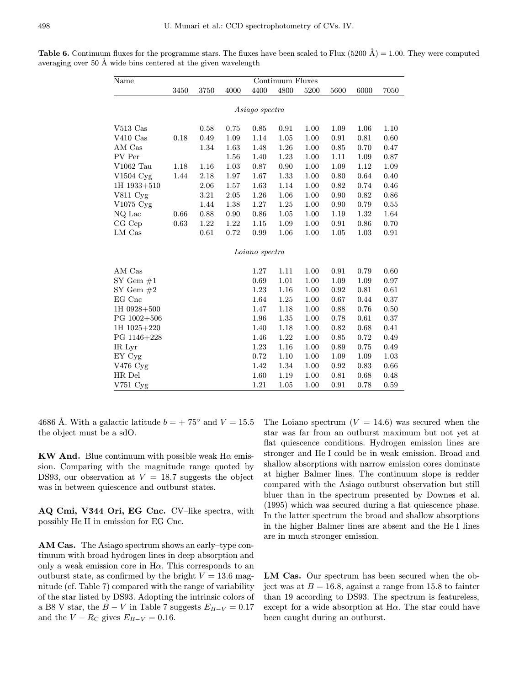**Table 6.** Continuum fluxes for the programme stars. The fluxes have been scaled to Flux (5200  $\AA$ ) = 1.00. They were computed averaging over 50 Å wide bins centered at the given wavelength

| Name                   |      |      |          |                | Continuum Fluxes |      |      |      |      |
|------------------------|------|------|----------|----------------|------------------|------|------|------|------|
|                        | 3450 | 3750 | 4000     | 4400           | 4800             | 5200 | 5600 | 6000 | 7050 |
|                        |      |      |          | Asiago spectra |                  |      |      |      |      |
|                        |      |      |          |                |                  |      |      |      |      |
| $V513$ Cas             |      | 0.58 | 0.75     | 0.85           | 0.91             | 1.00 | 1.09 | 1.06 | 1.10 |
| $V410$ Cas             | 0.18 | 0.49 | 1.09     | 1.14           | 1.05             | 1.00 | 0.91 | 0.81 | 0.60 |
| AM Cas                 |      | 1.34 | 1.63     | 1.48           | 1.26             | 1.00 | 0.85 | 0.70 | 0.47 |
| PV Per                 |      |      | 1.56     | 1.40           | 1.23             | 1.00 | 1.11 | 1.09 | 0.87 |
| V1062 Tau              | 1.18 | 1.16 | 1.03     | 0.87           | 0.90             | 1.00 | 1.09 | 1.12 | 1.09 |
| $V1504$ Cyg            | 1.44 | 2.18 | 1.97     | 1.67           | 1.33             | 1.00 | 0.80 | 0.64 | 0.40 |
| 1H 1933+510            |      | 2.06 | $1.57\,$ | 1.63           | 1.14             | 1.00 | 0.82 | 0.74 | 0.46 |
| V811 Cyg               |      | 3.21 | 2.05     | 1.26           | 1.06             | 1.00 | 0.90 | 0.82 | 0.86 |
| $V1075 \,\mathrm{Cyg}$ |      | 1.44 | 1.38     | 1.27           | 1.25             | 1.00 | 0.90 | 0.79 | 0.55 |
| NQ Lac                 | 0.66 | 0.88 | 0.90     | 0.86           | 1.05             | 1.00 | 1.19 | 1.32 | 1.64 |
| CG Cep                 | 0.63 | 1.22 | 1.22     | 1.15           | 1.09             | 1.00 | 0.91 | 0.86 | 0.70 |
| LM Cas                 |      | 0.61 | 0.72     | 0.99           | 1.06             | 1.00 | 1.05 | 1.03 | 0.91 |
|                        |      |      |          | Loiano spectra |                  |      |      |      |      |
| AM Cas                 |      |      |          | 1.27           | 1.11             | 1.00 | 0.91 | 0.79 | 0.60 |
| $SY$ Gem $#1$          |      |      |          | 0.69           | 1.01             | 1.00 | 1.09 | 1.09 | 0.97 |
| SY Gem $#2$            |      |      |          | 1.23           | 1.16             | 1.00 | 0.92 | 0.81 | 0.61 |
| EG Cnc                 |      |      |          | 1.64           | 1.25             | 1.00 | 0.67 | 0.44 | 0.37 |
| 1H 0928+500            |      |      |          | 1.47           | 1.18             | 1.00 | 0.88 | 0.76 | 0.50 |
| $PG$ 1002+506          |      |      |          | 1.96           | 1.35             | 1.00 | 0.78 | 0.61 | 0.37 |
| 1H 1025+220            |      |      |          | 1.40           | 1.18             | 1.00 | 0.82 | 0.68 | 0.41 |
| PG 1146+228            |      |      |          | 1.46           | 1.22             | 1.00 | 0.85 | 0.72 | 0.49 |
| IR Lyr                 |      |      |          | 1.23           | 1.16             | 1.00 | 0.89 | 0.75 | 0.49 |
| EY Cyg                 |      |      |          | 0.72           | 1.10             | 1.00 | 1.09 | 1.09 | 1.03 |
| V476 Cyg               |      |      |          | 1.42           | 1.34             | 1.00 | 0.92 | 0.83 | 0.66 |
| HR Del                 |      |      |          | 1.60           | 1.19             | 1.00 | 0.81 | 0.68 | 0.48 |
| $V751$ $Cvg$           |      |      |          | 1.21           | 1.05             | 1.00 | 0.91 | 0.78 | 0.59 |
|                        |      |      |          |                |                  |      |      |      |      |

4686 Å. With a galactic latitude  $b = +75^{\circ}$  and  $V = 15.5$ the object must be a sdO.

KW And. Blue continuum with possible weak  $H\alpha$  emission. Comparing with the magnitude range quoted by DS93, our observation at  $V = 18.7$  suggests the object was in between quiescence and outburst states.

AQ Cmi, V344 Ori, EG Cnc. CV–like spectra, with possibly He II in emission for EG Cnc.

AM Cas. The Asiago spectrum shows an early–type continuum with broad hydrogen lines in deep absorption and only a weak emission core in  $H\alpha$ . This corresponds to an outburst state, as confirmed by the bright  $V = 13.6$  magnitude (cf. Table 7) compared with the range of variability of the star listed by DS93. Adopting the intrinsic colors of a B8 V star, the  $B - V$  in Table 7 suggests  $E_{B-V} = 0.17$ and the  $V - R_C$  gives  $E_{B-V} = 0.16$ .

The Loiano spectrum  $(V = 14.6)$  was secured when the star was far from an outburst maximum but not yet at flat quiescence conditions. Hydrogen emission lines are stronger and He I could be in weak emission. Broad and shallow absorptions with narrow emission cores dominate at higher Balmer lines. The continuum slope is redder compared with the Asiago outburst observation but still bluer than in the spectrum presented by Downes et al. (1995) which was secured during a flat quiescence phase. In the latter spectrum the broad and shallow absorptions in the higher Balmer lines are absent and the He I lines are in much stronger emission.

LM Cas. Our spectrum has been secured when the object was at  $B = 16.8$ , against a range from 15.8 to fainter than 19 according to DS93. The spectrum is featureless, except for a wide absorption at  $H\alpha$ . The star could have been caught during an outburst.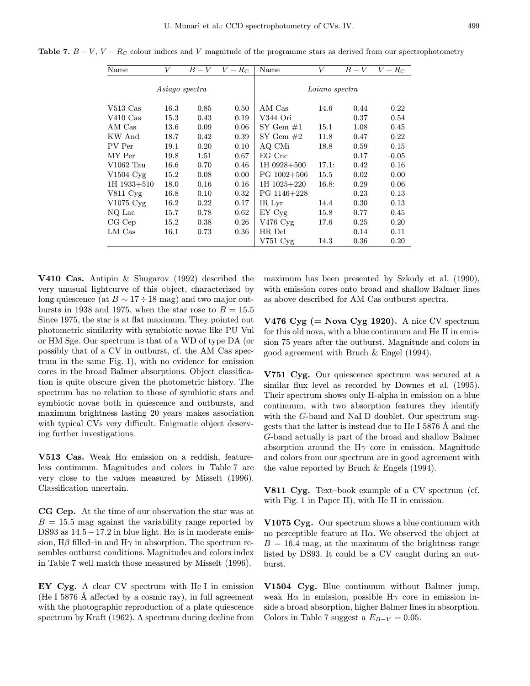Table 7.  $B - V$ ,  $V - R_C$  colour indices and V magnitude of the programme stars as derived from our spectrophotometry

| $\bar{\text{Name}}$            | V              | $B-V$   | $V-R_{\rm C}$ | Name          | V              | $B-V$ | $V-R_{\rm C}$ |
|--------------------------------|----------------|---------|---------------|---------------|----------------|-------|---------------|
|                                | Asiago spectra |         |               |               | Loiano spectra |       |               |
| $V513\;\mathrm{Cas}$           | 16.3           | 0.85    | 0.50          | AM Cas        | 14.6           | 0.44  | 0.22          |
| $V410\;\mathrm{Cas}$           | 15.3           | 0.43    | 0.19          | V344 Ori      |                | 0.37  | 0.54          |
| $\mathop{\rm AM}\nolimits$ Cas | 13.6           | 0.09    | 0.06          | SY Gem $#1$   | 15.1           | 1.08  | 0.45          |
| KW And                         | 18.7           | 0.42    | 0.39          | SY Gem $#2$   | 11.8           | 0.47  | 0.22          |
| PV Per                         | 19.1           | 0.20    | 0.10          | AQ CMi        | 18.8           | 0.59  | 0.15          |
| MY Per                         | 19.8           | 1.51    | 0.67          | EG Cnc        |                | 0.17  | $-0.05$       |
| V1062 Tau                      | 16.6           | 0.70    | 0.46          | 1H 0928+500   | 17.1:          | 0.42  | 0.16          |
| $V1504$ $Cvg$                  | 15.2           | $-0.08$ | 0.00          | $PG$ 1002+506 | 15.5           | 0.02  | 0.00          |
| 1H 1933+510                    | 18.0           | 0.16    | 0.16          | 1H 1025+220   | 16.8:          | 0.29  | 0.06          |
| $V811 \,\mathrm{Cyg}$          | 16.8           | 0.10    | 0.32          | PG 1146+228   |                | 0.23  | 0.13          |
| V1075 Cyg                      | 16.2           | 0.22    | 0.17          | IR Lyr        | 14.4           | 0.30  | 0.13          |
| $NQ$ Lac                       | 15.7           | 0.78    | 0.62          | EY Cyg        | 15.8           | 0.77  | 0.45          |
| CGCep                          | 15.2           | 0.38    | 0.26          | V476 Cyg      | 17.6           | 0.25  | 0.20          |
| $LM$ $Cas$                     | 16.1           | 0.73    | 0.36          | HR Del        |                | 0.14  | 0.11          |
|                                |                |         |               | V751 Cyg      | 14.3           | 0.36  | 0.20          |
|                                |                |         |               |               |                |       |               |

V410 Cas. Antipin & Shugarov (1992) described the very unusual lightcurve of this object, characterized by long quiescence (at  $B \sim 17 \div 18$  mag) and two major outbursts in 1938 and 1975, when the star rose to  $B = 15.5$ Since 1975, the star is at flat maximum. They pointed out photometric similarity with symbiotic novae like PU Vul or HM Sge. Our spectrum is that of a WD of type DA (or possibly that of a CV in outburst, cf. the AM Cas spectrum in the same Fig. 1), with no evidence for emission cores in the broad Balmer absorptions. Object classification is quite obscure given the photometric history. The spectrum has no relation to those of symbiotic stars and symbiotic novae both in quiescence and outbursts, and maximum brightness lasting 20 years makes association with typical CVs very difficult. Enigmatic object deserving further investigations.

 $\overline{\phantom{0}}$ 

V513 Cas. Weak  $H\alpha$  emission on a reddish, featureless continuum. Magnitudes and colors in Table 7 are very close to the values measured by Misselt (1996). Classification uncertain.

CG Cep. At the time of our observation the star was at  $B = 15.5$  mag against the variability range reported by DS93 as  $14.5-17.2$  in blue light. H $\alpha$  is in moderate emission, H $\beta$  filled–in and H $\gamma$  in absorption. The spectrum resembles outburst conditions. Magnitudes and colors index in Table 7 well match those measured by Misselt (1996).

EY Cyg. A clear CV spectrum with He I in emission (He I 5876  $\AA$  affected by a cosmic ray), in full agreement with the photographic reproduction of a plate quiescence spectrum by Kraft (1962). A spectrum during decline from maximum has been presented by Szkody et al. (1990), with emission cores onto broad and shallow Balmer lines as above described for AM Cas outburst spectra.

V476  $Cyg$  (= Nova  $Cyg$  1920). A nice CV spectrum for this old nova, with a blue continuum and He II in emission 75 years after the outburst. Magnitude and colors in good agreement with Bruch & Engel (1994).

V751 Cyg. Our quiescence spectrum was secured at a similar flux level as recorded by Downes et al. (1995). Their spectrum shows only H-alpha in emission on a blue continuum, with two absorption features they identify with the G-band and NaI D doublet. Our spectrum suggests that the latter is instead due to He I 5876 Å and the G-band actually is part of the broad and shallow Balmer absorption around the  $H\gamma$  core in emission. Magnitude and colors from our spectrum are in good agreement with the value reported by Bruch & Engels (1994).

V811 Cyg. Text–book example of a CV spectrum (cf. with Fig. 1 in Paper II), with He II in emission.

V1075 Cyg. Our spectrum shows a blue continuum with no perceptible feature at  $H\alpha$ . We observed the object at  $B = 16.4$  mag, at the maximum of the brightness range listed by DS93. It could be a CV caught during an outburst.

V1504 Cyg. Blue continuum without Balmer jump, weak H $\alpha$  in emission, possible H $\gamma$  core in emission inside a broad absorption, higher Balmer lines in absorption. Colors in Table 7 suggest a  $E_{B-V} = 0.05$ .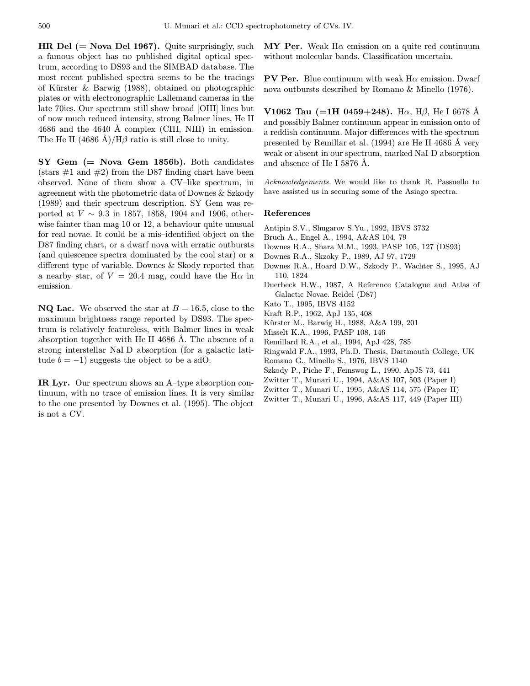**HR Del (** $=$  **Nova Del 1967).** Quite surprisingly, such a famous object has no published digital optical spectrum, according to DS93 and the SIMBAD database. The most recent published spectra seems to be the tracings of Kürster  $\&$  Barwig (1988), obtained on photographic plates or with electronographic Lallemand cameras in the late 70ies. Our spectrum still show broad [OIII] lines but of now much reduced intensity, strong Balmer lines, He II 4686 and the 4640 Å complex (CIII, NIII) in emission. The He II  $(4686 \text{ Å})/H\beta$  ratio is still close to unity.

 $SY$  Gem  $(=$  Nova Gem 1856b). Both candidates (stars  $\#1$  and  $\#2$ ) from the D87 finding chart have been observed. None of them show a CV–like spectrum, in agreement with the photometric data of Downes & Szkody (1989) and their spectrum description. SY Gem was reported at  $V \sim 9.3$  in 1857, 1858, 1904 and 1906, otherwise fainter than mag 10 or 12, a behaviour quite unusual for real novae. It could be a mis–identified object on the D87 finding chart, or a dwarf nova with erratic outbursts (and quiescence spectra dominated by the cool star) or a different type of variable. Downes & Skody reported that a nearby star, of  $V = 20.4$  mag, could have the H $\alpha$  in emission.

**NQ Lac.** We observed the star at  $B = 16.5$ , close to the maximum brightness range reported by DS93. The spectrum is relatively featureless, with Balmer lines in weak absorption together with He II 4686 Å. The absence of a strong interstellar NaI D absorption (for a galactic latitude  $b = -1$ ) suggests the object to be a sdO.

IR Lyr. Our spectrum shows an A–type absorption continuum, with no trace of emission lines. It is very similar to the one presented by Downes et al. (1995). The object is not a CV.

MY Per. Weak  $H\alpha$  emission on a quite red continuum without molecular bands. Classification uncertain.

**PV Per.** Blue continuum with weak  $H\alpha$  emission. Dwarf nova outbursts described by Romano & Minello (1976).

V1062 Tau (=1H 0459+248). H $\alpha$ , H $\beta$ , He I 6678 Å and possibly Balmer continuum appear in emission onto of a reddish continuum. Major differences with the spectrum presented by Remillar et al.  $(1994)$  are He II 4686 Å very weak or absent in our spectrum, marked NaI D absorption and absence of He I 5876  $\AA$ .

Acknowledgements. We would like to thank R. Passuello to have assisted us in securing some of the Asiago spectra.

#### References

- Antipin S.V., Shugarov S.Yu., 1992, IBVS 3732
- Bruch A., Engel A., 1994, A&AS 104, 79
- Downes R.A., Shara M.M., 1993, PASP 105, 127 (DS93)
- Downes R.A., Skzoky P., 1989, AJ 97, 1729
- Downes R.A., Hoard D.W., Szkody P., Wachter S., 1995, AJ 110, 1824
- Duerbeck H.W., 1987, A Reference Catalogue and Atlas of Galactic Novae. Reidel (D87)
- Kato T., 1995, IBVS 4152
- Kraft R.P., 1962, ApJ 135, 408
- Kürster M., Barwig H., 1988, A&A 199, 201
- Misselt K.A., 1996, PASP 108, 146
- Remillard R.A., et al., 1994, ApJ 428, 785
- Ringwald F.A., 1993, Ph.D. Thesis, Dartmouth College, UK
- Romano G., Minello S., 1976, IBVS 1140
- Szkody P., Piche F., Feinswog L., 1990, ApJS 73, 441
- Zwitter T., Munari U., 1994, A&AS 107, 503 (Paper I)
- Zwitter T., Munari U., 1995, A&AS 114, 575 (Paper II)
- Zwitter T., Munari U., 1996, A&AS 117, 449 (Paper III)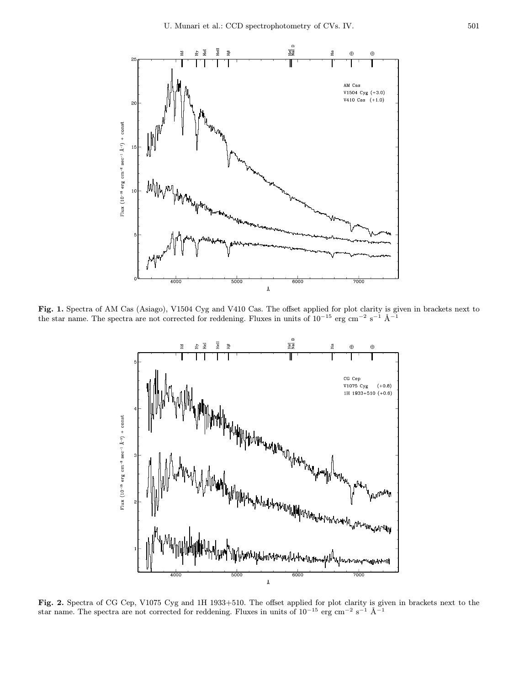

Fig. 1. Spectra of AM Cas (Asiago), V1504 Cyg and V410 Cas. The offset applied for plot clarity is given in brackets next to the star name. The spectra are not corrected for reddening. Fluxes in units of  $10^{-15}$  erg cm<sup>-2</sup> s<sup>-1</sup> Å<sup>-1</sup>



Fig. 2. Spectra of CG Cep, V1075 Cyg and 1H 1933+510. The offset applied for plot clarity is given in brackets next to the star name. The spectra are not corrected for reddening. Fluxes in units of  $10^{-15}$  erg cm<sup>-2</sup> s<sup>-1</sup> Å<sup>-1</sup>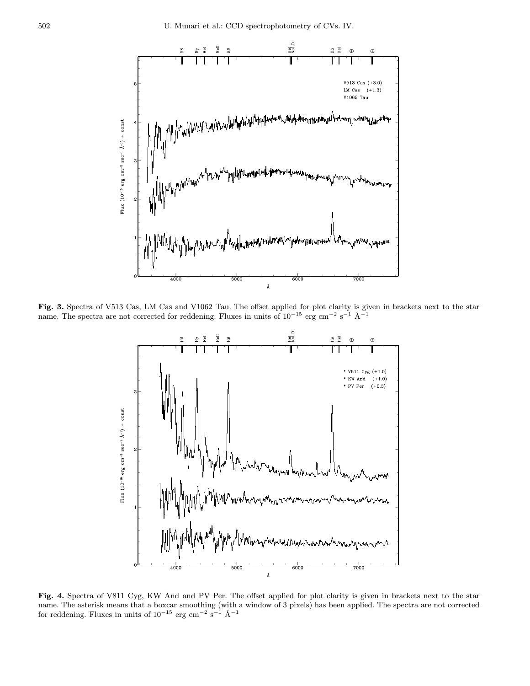

Fig. 3. Spectra of V513 Cas, LM Cas and V1062 Tau. The offset applied for plot clarity is given in brackets next to the star name. The spectra are not corrected for reddening. Fluxes in units of  $10^{-15}$  erg cm<sup>-2</sup> s<sup>-1</sup> Å<sup>-1</sup>



Fig. 4. Spectra of V811 Cyg, KW And and PV Per. The offset applied for plot clarity is given in brackets next to the star name. The asterisk means that a boxcar smoothing (with a window of 3 pixels) has been applied. The spectra are not corrected for reddening. Fluxes in units of  $10^{-15}$  erg cm<sup>-2</sup> s<sup>-1</sup> Å<sup>-1</sup>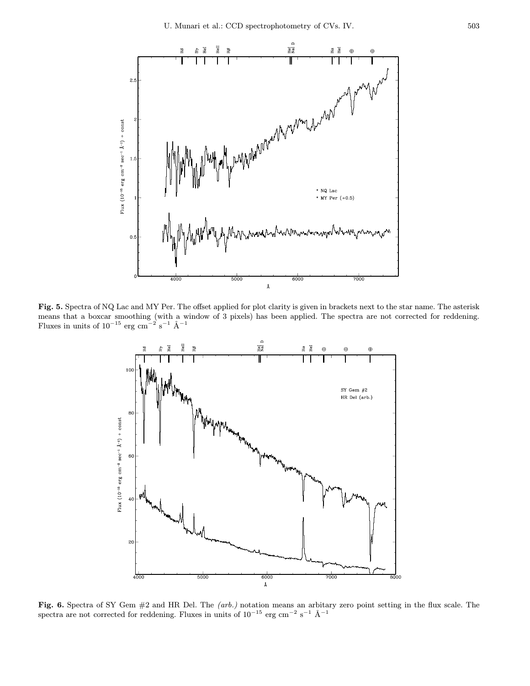

Fig. 5. Spectra of NQ Lac and MY Per. The offset applied for plot clarity is given in brackets next to the star name. The asterisk means that a boxcar smoothing (with a window of 3 pixels) has been applied. The spectra are not corrected for reddening. Fluxes in units of  $10^{-15}$  erg cm<sup>-2</sup> s<sup>-1</sup> Å<sup>-1</sup>



Fig. 6. Spectra of SY Gem  $#2$  and HR Del. The (arb.) notation means an arbitary zero point setting in the flux scale. The spectra are not corrected for reddening. Fluxes in units of  $10^{-15}$  erg cm<sup>-2</sup> s<sup>-1</sup> Å<sup>-1</sup>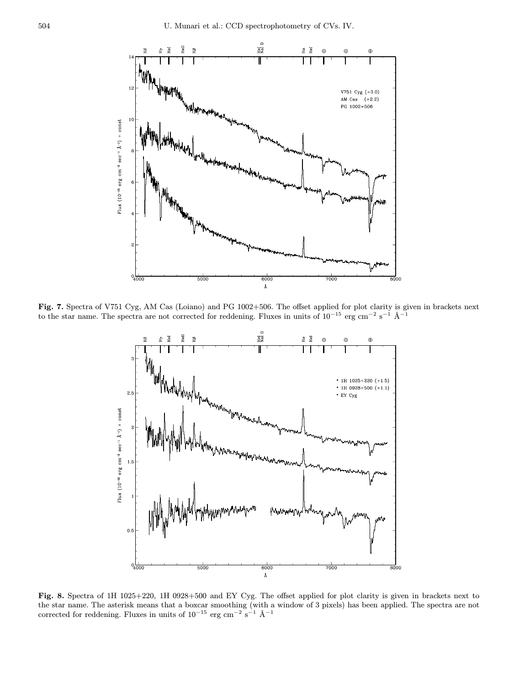

Fig. 7. Spectra of V751 Cyg, AM Cas (Loiano) and PG 1002+506. The offset applied for plot clarity is given in brackets next to the star name. The spectra are not corrected for reddening. Fluxes in units of  $10^{-15}$  erg cm<sup>-2</sup> s<sup>-1</sup> Å<sup>-1</sup>



Fig. 8. Spectra of 1H 1025+220, 1H 0928+500 and EY Cyg. The offset applied for plot clarity is given in brackets next to the star name. The asterisk means that a boxcar smoothing (with a window of 3 pixels) has been applied. The spectra are not corrected for reddening. Fluxes in units of  $10^{-15}$  erg cm<sup>-2</sup> s<sup>-1</sup> Å<sup>-1</sup>